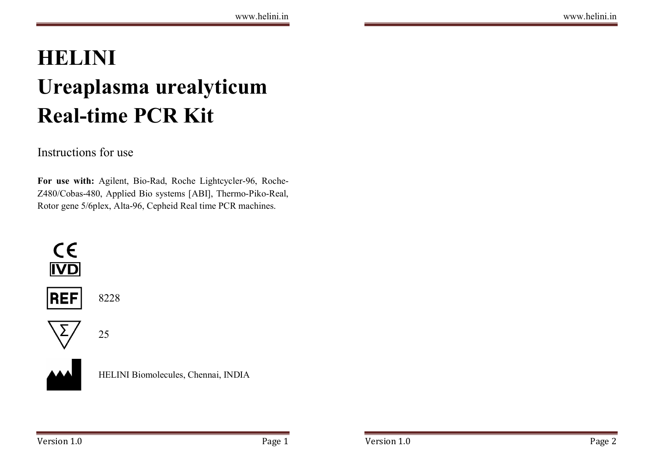# HELINI Ureaplasma urealyticum Real-time PCR Kit

## Instructions for use

For use with: Agilent, Bio-Rad, Roche Lightcycler-96, Roche-Z480/Cobas-480, Applied Bio systems [ABI], Thermo-Piko-Real, Rotor gene 5/6plex, Alta-96, Cepheid Real time PCR machines.



HELINI Biomolecules, Chennai, INDIA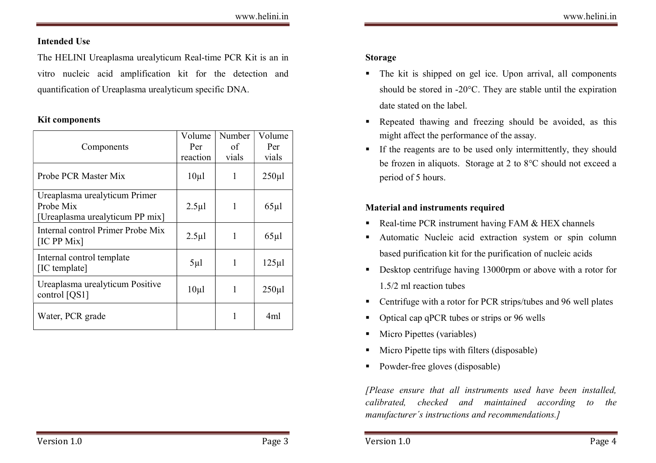## Intended Use

The HELINI Ureaplasma urealyticum Real-time PCR Kit is an in vitro nucleic acid amplification kit for the detection and quantification of Ureaplasma urealyticum specific DNA.

#### Kit components

| Components                                                                    | Volume<br>Per<br>reaction | Number<br>of<br>vials | Volume<br>Per<br>vials |
|-------------------------------------------------------------------------------|---------------------------|-----------------------|------------------------|
| Probe PCR Master Mix                                                          | 10 <sub>µ</sub> 1         | 1                     | $250 \mu$              |
| Ureaplasma urealyticum Primer<br>Probe Mix<br>[Ureaplasma urealyticum PP mix] | $2.5 \mu$                 | 1                     | $65 \mu$               |
| Internal control Primer Probe Mix<br>[IC PP Mix]                              | $2.5 \mu$                 | 1                     | $65 \mu$               |
| Internal control template<br>[IC template]                                    | $5\mu$                    | 1                     | $125 \mu$              |
| Ureaplasma urealyticum Positive<br>control [QS1]                              | $10\mu1$                  | 1                     | $250 \mu$              |
| Water, PCR grade                                                              |                           | 1                     | 4ml                    |

## Storage

- The kit is shipped on gel ice. Upon arrival, all components should be stored in -20°C. They are stable until the expiration date stated on the label.
- Repeated thawing and freezing should be avoided, as this might affect the performance of the assay.
- If the reagents are to be used only intermittently, they should be frozen in aliquots. Storage at 2 to 8°C should not exceed a period of 5 hours.

## Material and instruments required

- Real-time PCR instrument having FAM & HEX channels
- Automatic Nucleic acid extraction system or spin column based purification kit for the purification of nucleic acids
- Desktop centrifuge having 13000rpm or above with a rotor for 1.5/2 ml reaction tubes
- Centrifuge with a rotor for PCR strips/tubes and 96 well plates
- Optical cap qPCR tubes or strips or 96 wells
- Micro Pipettes (variables)
- Micro Pipette tips with filters (disposable)
- Powder-free gloves (disposable)

[Please ensure that all instruments used have been installed, calibrated, checked and maintained according to the manufacturer´s instructions and recommendations.]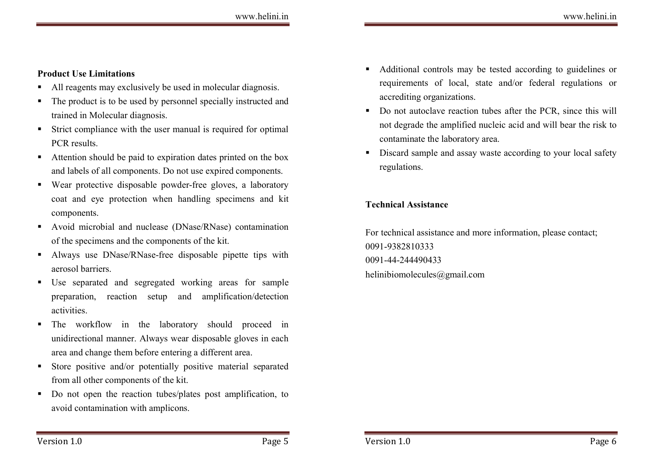## Product Use Limitations

- All reagents may exclusively be used in molecular diagnosis.
- The product is to be used by personnel specially instructed and trained in Molecular diagnosis.
- Strict compliance with the user manual is required for optimal PCR results.
- Attention should be paid to expiration dates printed on the box and labels of all components. Do not use expired components.
- Wear protective disposable powder-free gloves, a laboratory coat and eye protection when handling specimens and kit components.
- Avoid microbial and nuclease (DNase/RNase) contamination of the specimens and the components of the kit.
- Always use DNase/RNase-free disposable pipette tips with aerosol barriers.
- Use separated and segregated working areas for sample preparation, reaction setup and amplification/detection activities.
- The workflow in the laboratory should proceed in unidirectional manner. Always wear disposable gloves in each area and change them before entering a different area.
- Store positive and/or potentially positive material separated from all other components of the kit.
- Do not open the reaction tubes/plates post amplification, to avoid contamination with amplicons.
- Additional controls may be tested according to guidelines or requirements of local, state and/or federal regulations or accrediting organizations.
- Do not autoclave reaction tubes after the PCR, since this will not degrade the amplified nucleic acid and will bear the risk to contaminate the laboratory area.
- Discard sample and assay waste according to your local safety regulations.

## Technical Assistance

For technical assistance and more information, please contact; 0091-9382810333 0091-44-244490433 helinibiomolecules@gmail.com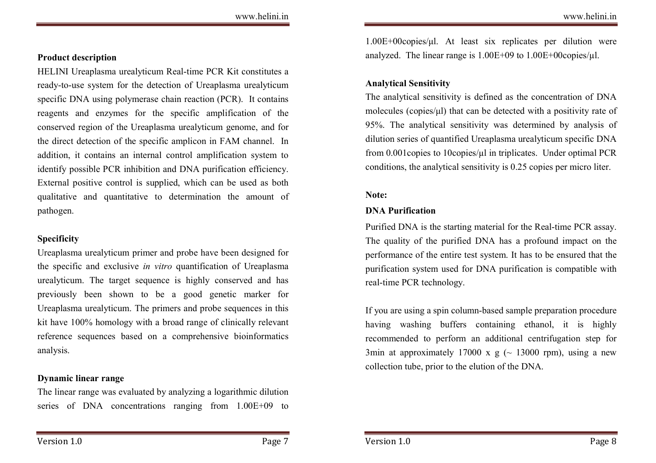#### Product description

HELINI Ureaplasma urealyticum Real-time PCR Kit constitutes a ready-to-use system for the detection of Ureaplasma urealyticum specific DNA using polymerase chain reaction (PCR). It contains reagents and enzymes for the specific amplification of the conserved region of the Ureaplasma urealyticum genome, and for the direct detection of the specific amplicon in FAM channel. In addition, it contains an internal control amplification system to identify possible PCR inhibition and DNA purification efficiency. External positive control is supplied, which can be used as both qualitative and quantitative to determination the amount of pathogen.

## Specificity

Ureaplasma urealyticum primer and probe have been designed for the specific and exclusive in vitro quantification of Ureaplasma urealyticum. The target sequence is highly conserved and has previously been shown to be a good genetic marker for Ureaplasma urealyticum. The primers and probe sequences in this kit have 100% homology with a broad range of clinically relevant reference sequences based on a comprehensive bioinformatics analysis.

#### Dynamic linear range

The linear range was evaluated by analyzing a logarithmic dilution series of DNA concentrations ranging from 1.00E+09 to

1.00E+00copies/μl. At least six replicates per dilution were analyzed. The linear range is  $1.00E+09$  to  $1.00E+00$ copies/ $\mu$ l.

## Analytical Sensitivity

The analytical sensitivity is defined as the concentration of DNA molecules (copies/μl) that can be detected with a positivity rate of 95%. The analytical sensitivity was determined by analysis of dilution series of quantified Ureaplasma urealyticum specific DNA from 0.001copies to 10copies/ $\mu$ l in triplicates. Under optimal PCR conditions, the analytical sensitivity is 0.25 copies per micro liter.

## Note:

#### DNA Purification

Purified DNA is the starting material for the Real-time PCR assay. The quality of the purified DNA has a profound impact on the performance of the entire test system. It has to be ensured that the purification system used for DNA purification is compatible with real-time PCR technology.

If you are using a spin column-based sample preparation procedure having washing buffers containing ethanol, it is highly recommended to perform an additional centrifugation step for 3min at approximately 17000 x  $g$  ( $\sim$  13000 rpm), using a new collection tube, prior to the elution of the DNA.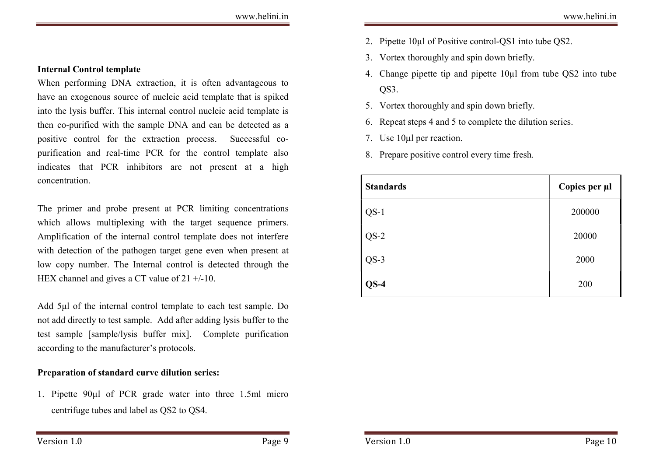When performing DNA extraction, it is often advantageous to have an exogenous source of nucleic acid template that is spiked into the lysis buffer. This internal control nucleic acid template is then co-purified with the sample DNA and can be detected as a positive control for the extraction process. Successful copurification and real-time PCR for the control template also indicates that PCR inhibitors are not present at a high concentration.

The primer and probe present at PCR limiting concentrations which allows multiplexing with the target sequence primers. Amplification of the internal control template does not interfere with detection of the pathogen target gene even when present at low copy number. The Internal control is detected through the HEX channel and gives a CT value of 21 +/-10.

Add 5μl of the internal control template to each test sample. Do not add directly to test sample. Add after adding lysis buffer to the test sample [sample/lysis buffer mix]. Complete purification according to the manufacturer's protocols.

#### Preparation of standard curve dilution series:

1. Pipette 90µl of PCR grade water into three 1.5ml micro centrifuge tubes and label as QS2 to QS4.

- 2. Pipette 10µl of Positive control-QS1 into tube QS2.
- 3. Vortex thoroughly and spin down briefly.
- 4. Change pipette tip and pipette 10µl from tube QS2 into tube QS3.
- 5. Vortex thoroughly and spin down briefly.
- 6. Repeat steps 4 and 5 to complete the dilution series.
- 7. Use 10µl per reaction.
- 8. Prepare positive control every time fresh.

| <b>Standards</b> | Copies per µl |
|------------------|---------------|
| $QS-1$           | 200000        |
| $QS-2$           | 20000         |
| $QS-3$           | 2000          |
| $QS-4$           | 200           |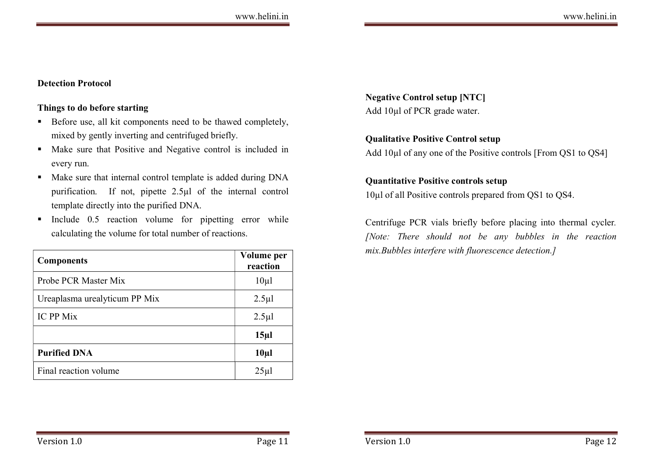## Detection Protocol

#### Things to do before starting

- Before use, all kit components need to be thawed completely, mixed by gently inverting and centrifuged briefly.
- Make sure that Positive and Negative control is included in every run.
- Make sure that internal control template is added during DNA purification. If not, pipette 2.5µl of the internal control template directly into the purified DNA.
- Include  $0.5$  reaction volume for pipetting error while calculating the volume for total number of reactions.

| <b>Components</b>             | Volume per<br>reaction |
|-------------------------------|------------------------|
| Probe PCR Master Mix          | $10\mu$                |
| Ureaplasma urealyticum PP Mix | $2.5 \mu$ l            |
| <b>IC PP Mix</b>              | $2.5 \mu$              |
|                               | 15 <sub>µ</sub>        |
| <b>Purified DNA</b>           | $10\mu$ l              |
| Final reaction volume         | $25\mu$                |

Negative Control setup [NTC] Add 10µl of PCR grade water.

## Qualitative Positive Control setup

Add 10µl of any one of the Positive controls [From QS1 to QS4]

## Quantitative Positive controls setup

10µl of all Positive controls prepared from QS1 to QS4.

Centrifuge PCR vials briefly before placing into thermal cycler. [Note: There should not be any bubbles in the reaction mix.Bubbles interfere with fluorescence detection.]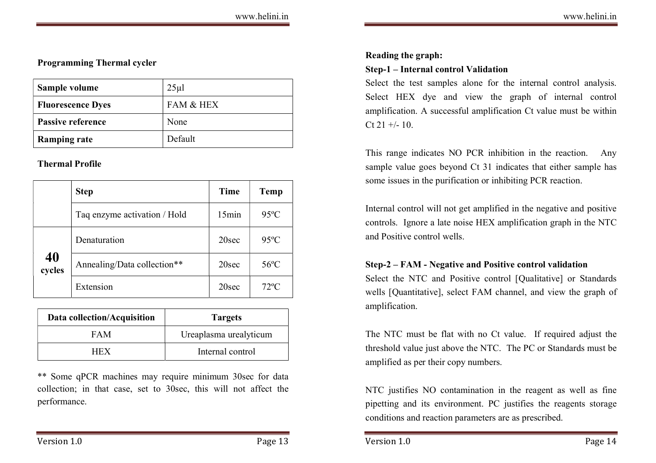| Sample volume            | $25 \mu$  |
|--------------------------|-----------|
| <b>Fluorescence Dyes</b> | FAM & HEX |
| <b>Passive reference</b> | None      |
| <b>Ramping rate</b>      | Default   |

## Thermal Profile

|              | <b>Step</b>                  | Time              | Temp           |
|--------------|------------------------------|-------------------|----------------|
|              | Taq enzyme activation / Hold | 15min             | $95^{\circ}$ C |
|              | Denaturation                 | 20 <sub>sec</sub> | $95^{\circ}$ C |
| 40<br>cycles | Annealing/Data collection**  | 20sec             | $56^{\circ}$ C |
|              | Extension                    | 20sec             | $72^{\circ}$ C |

| Data collection/Acquisition | <b>Targets</b>         |
|-----------------------------|------------------------|
| FAM                         | Ureaplasma urealyticum |
| HFX                         | Internal control       |

\*\* Some qPCR machines may require minimum 30sec for data collection; in that case, set to 30sec, this will not affect the performance.

#### Reading the graph:

#### Step-1 – Internal control Validation

Select the test samples alone for the internal control analysis. Select HEX dye and view the graph of internal control amplification. A successful amplification Ct value must be within  $Ct$  21 +/- 10.

This range indicates NO PCR inhibition in the reaction. Any sample value goes beyond Ct 31 indicates that either sample has some issues in the purification or inhibiting PCR reaction.

Internal control will not get amplified in the negative and positive controls. Ignore a late noise HEX amplification graph in the NTC and Positive control wells.

## Step-2 – FAM - Negative and Positive control validation

Select the NTC and Positive control [Qualitative] or Standards wells [Quantitative], select FAM channel, and view the graph of amplification.

The NTC must be flat with no Ct value. If required adjust the threshold value just above the NTC. The PC or Standards must be amplified as per their copy numbers.

NTC justifies NO contamination in the reagent as well as fine pipetting and its environment. PC justifies the reagents storage conditions and reaction parameters are as prescribed.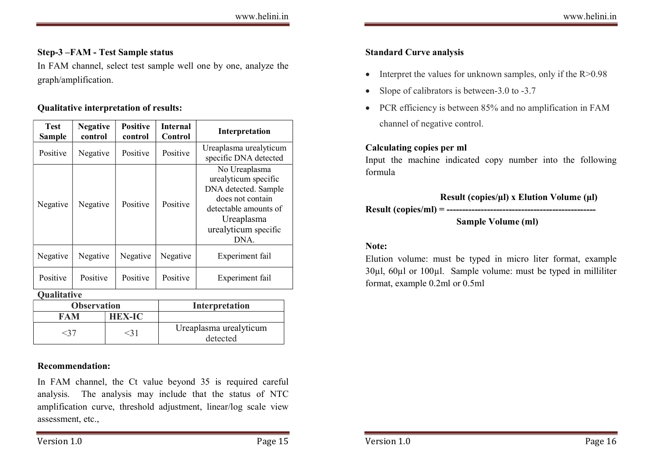#### Step-3 –FAM - Test Sample status

In FAM channel, select test sample well one by one, analyze the graph/amplification.

#### Qualitative interpretation of results:

| <b>Test</b><br>Sample | <b>Negative</b><br>control |  | <b>Positive</b><br>control | <b>Internal</b><br>Control | Interpretation                                                                                                                                           |  |
|-----------------------|----------------------------|--|----------------------------|----------------------------|----------------------------------------------------------------------------------------------------------------------------------------------------------|--|
| Positive              | Negative                   |  | Positive                   | Positive                   | Ureaplasma urealyticum<br>specific DNA detected                                                                                                          |  |
| Negative              | Negative                   |  | Positive                   | Positive                   | No Ureaplasma<br>urealyticum specific<br>DNA detected. Sample<br>does not contain<br>detectable amounts of<br>Ureaplasma<br>urealyticum specific<br>DNA. |  |
| Negative              | Negative                   |  | Negative                   | Negative                   | Experiment fail                                                                                                                                          |  |
| Positive              | Positive                   |  | Positive                   | Positive                   | Experiment fail                                                                                                                                          |  |
| <b>Oualitative</b>    |                            |  |                            |                            |                                                                                                                                                          |  |
| <b>Observation</b>    |                            |  |                            | Interpretation             |                                                                                                                                                          |  |
|                       | <b>FAM</b>                 |  | <b>HEX-IC</b>              |                            |                                                                                                                                                          |  |
| <37                   |                            |  | $<$ 31                     | Ureaplasma urealyticum     |                                                                                                                                                          |  |

#### Recommendation:

In FAM channel, the Ct value beyond 35 is required careful analysis. The analysis may include that the status of NTC amplification curve, threshold adjustment, linear/log scale view assessment, etc.,

detected

## Standard Curve analysis

- Interpret the values for unknown samples, only if the  $R > 0.98$
- Slope of calibrators is between-3.0 to -3.7
- PCR efficiency is between 85% and no amplification in FAM channel of negative control.

#### Calculating copies per ml

Input the machine indicated copy number into the following formula

| Result (copies/µI) x Elution Volume (µI) |
|------------------------------------------|
|                                          |
| Sample Volume (ml)                       |

#### Note:

Elution volume: must be typed in micro liter format, example 30µl, 60µl or 100µl. Sample volume: must be typed in milliliter format, example 0.2ml or 0.5ml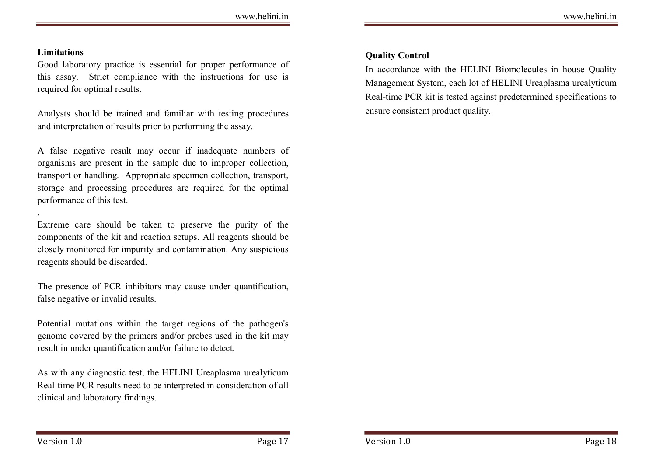#### **Limitations**

.

Good laboratory practice is essential for proper performance of this assay. Strict compliance with the instructions for use is required for optimal results.

Analysts should be trained and familiar with testing procedures and interpretation of results prior to performing the assay.

A false negative result may occur if inadequate numbers of organisms are present in the sample due to improper collection, transport or handling. Appropriate specimen collection, transport, storage and processing procedures are required for the optimal performance of this test.

Extreme care should be taken to preserve the purity of the components of the kit and reaction setups. All reagents should be closely monitored for impurity and contamination. Any suspicious reagents should be discarded.

The presence of PCR inhibitors may cause under quantification, false negative or invalid results.

Potential mutations within the target regions of the pathogen's genome covered by the primers and/or probes used in the kit may result in under quantification and/or failure to detect.

As with any diagnostic test, the HELINI Ureaplasma urealyticum Real-time PCR results need to be interpreted in consideration of all clinical and laboratory findings.

#### Quality Control

In accordance with the HELINI Biomolecules in house Quality Management System, each lot of HELINI Ureaplasma urealyticum Real-time PCR kit is tested against predetermined specifications to ensure consistent product quality.